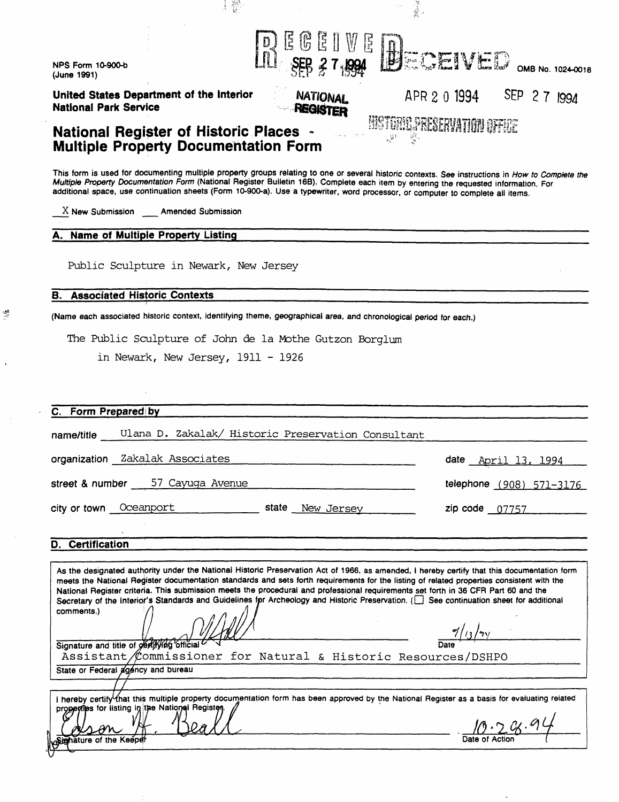| <b>NPS Form 10-900-b</b><br>(June 1991)                                                                           | E                                                       | ECEIVED<br>OMB No. 1024-0018                                                                                                                                                                                                                                                                                                                                                                                                                                                                                                                                               |
|-------------------------------------------------------------------------------------------------------------------|---------------------------------------------------------|----------------------------------------------------------------------------------------------------------------------------------------------------------------------------------------------------------------------------------------------------------------------------------------------------------------------------------------------------------------------------------------------------------------------------------------------------------------------------------------------------------------------------------------------------------------------------|
| United States Department of the Interior<br><b>National Park Service</b>                                          | <b>NATIONAL</b><br><b>REGISTER</b>                      | SEP 27 1994<br>APR 2 0 1994                                                                                                                                                                                                                                                                                                                                                                                                                                                                                                                                                |
| <b>National Register of Historic Places ~</b><br><b>Multiple Property Documentation Form</b>                      |                                                         | MOTORO SRECERVATION GEFICE<br>्दूर्भ                                                                                                                                                                                                                                                                                                                                                                                                                                                                                                                                       |
|                                                                                                                   |                                                         | This form is used for documenting multiple property groups relating to one or several historic contexts. See instructions in How to Complete the<br>Multiple Property Documentation Form (National Register Bulletin 16B). Complete each item by entering the requested information. For<br>additional space, use continuation sheets (Form 10-900-a). Use a typewriter, word processor, or computer to complete all items.                                                                                                                                                |
| $X$ New Submission Amended Submission                                                                             |                                                         |                                                                                                                                                                                                                                                                                                                                                                                                                                                                                                                                                                            |
| A. Name of Multiple Property Listing                                                                              |                                                         |                                                                                                                                                                                                                                                                                                                                                                                                                                                                                                                                                                            |
| Public Sculpture in Newark, New Jersey                                                                            |                                                         |                                                                                                                                                                                                                                                                                                                                                                                                                                                                                                                                                                            |
| <b>Associated Historic Contexts</b><br>В.                                                                         |                                                         |                                                                                                                                                                                                                                                                                                                                                                                                                                                                                                                                                                            |
| (Name each associated historic context, identifying theme, geographical area, and chronological period for each.) |                                                         |                                                                                                                                                                                                                                                                                                                                                                                                                                                                                                                                                                            |
|                                                                                                                   | The Public Sculpture of John de la Mothe Gutzon Borglum |                                                                                                                                                                                                                                                                                                                                                                                                                                                                                                                                                                            |
|                                                                                                                   |                                                         |                                                                                                                                                                                                                                                                                                                                                                                                                                                                                                                                                                            |
| in Newark, New Jersey, 1911 - 1926                                                                                |                                                         |                                                                                                                                                                                                                                                                                                                                                                                                                                                                                                                                                                            |
|                                                                                                                   |                                                         |                                                                                                                                                                                                                                                                                                                                                                                                                                                                                                                                                                            |
|                                                                                                                   |                                                         |                                                                                                                                                                                                                                                                                                                                                                                                                                                                                                                                                                            |
|                                                                                                                   |                                                         |                                                                                                                                                                                                                                                                                                                                                                                                                                                                                                                                                                            |
| Form Prepared by                                                                                                  |                                                         |                                                                                                                                                                                                                                                                                                                                                                                                                                                                                                                                                                            |
| name/title                                                                                                        | Ulana D. Zakalak/ Historic Preservation Consultant      |                                                                                                                                                                                                                                                                                                                                                                                                                                                                                                                                                                            |
|                                                                                                                   |                                                         |                                                                                                                                                                                                                                                                                                                                                                                                                                                                                                                                                                            |
| organization Zakalak Associates                                                                                   |                                                         | date April 13, 1994                                                                                                                                                                                                                                                                                                                                                                                                                                                                                                                                                        |
| street & number 57 Cayuga Avenue                                                                                  |                                                         | telephone (908) 571-3176                                                                                                                                                                                                                                                                                                                                                                                                                                                                                                                                                   |
| city or town Oceanport                                                                                            | state New Jersey                                        | $zip code$ 07757                                                                                                                                                                                                                                                                                                                                                                                                                                                                                                                                                           |
|                                                                                                                   |                                                         |                                                                                                                                                                                                                                                                                                                                                                                                                                                                                                                                                                            |
| <b>D.</b> Certification                                                                                           |                                                         |                                                                                                                                                                                                                                                                                                                                                                                                                                                                                                                                                                            |
|                                                                                                                   |                                                         |                                                                                                                                                                                                                                                                                                                                                                                                                                                                                                                                                                            |
| comments.)                                                                                                        |                                                         | As the designated authority under the National Historic Preservation Act of 1966, as amended, I hereby certify that this documentation form<br>meets the National Register documentation standards and sets forth requirements for the listing of related properties consistent with the<br>National Register criteria. This submission meets the procedural and professional requirements set forth in 36 CFR Part 60 and the<br>Secretary of the Interior's Standards and Guidelines for Archeology and Historic Preservation. (E) See continuation sheet for additional |
| Signature and title of obrifying official                                                                         |                                                         | 7/13/2y                                                                                                                                                                                                                                                                                                                                                                                                                                                                                                                                                                    |
|                                                                                                                   |                                                         | Assistant/Commissioner for Natural & Historic Resources/DSHPO                                                                                                                                                                                                                                                                                                                                                                                                                                                                                                              |
| State or Federal agency and bureau                                                                                |                                                         |                                                                                                                                                                                                                                                                                                                                                                                                                                                                                                                                                                            |
| properties for listing in the National Registen.                                                                  |                                                         | I hereby certify that this multiple property documentation form has been approved by the National Register as a basis for evaluating related                                                                                                                                                                                                                                                                                                                                                                                                                               |
| Signature of the Keeper                                                                                           |                                                         |                                                                                                                                                                                                                                                                                                                                                                                                                                                                                                                                                                            |

 $\mathcal{L}^{\text{max}}_{\text{max}}$  and  $\mathcal{L}^{\text{max}}_{\text{max}}$ 

 $\label{eq:2.1} \frac{1}{\sqrt{2}}\int_{\mathbb{R}^3}\frac{1}{\sqrt{2}}\left(\frac{1}{\sqrt{2}}\right)^2\left(\frac{1}{\sqrt{2}}\right)^2\left(\frac{1}{\sqrt{2}}\right)^2\left(\frac{1}{\sqrt{2}}\right)^2\left(\frac{1}{\sqrt{2}}\right)^2.$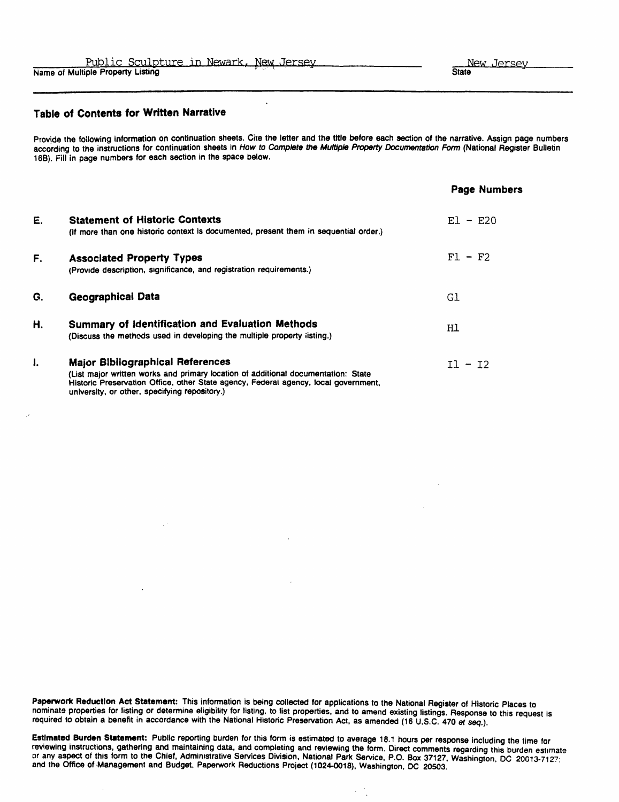#### Table of Contents for Written Narrative

Provide the following information on continuation sheets. Cite the letter and the title before each section of the narrative. Assign page numbers according to the instructions for continuation sheets in How to Complete the Multiple Property Documentation Form (National Register Bulletin 166). Fill in page numbers for each section in the space below.

 $\ddot{\phantom{a}}$ 

|    |                                                                                                                                                                                                                           | <b>Page Numbers</b> |
|----|---------------------------------------------------------------------------------------------------------------------------------------------------------------------------------------------------------------------------|---------------------|
| Е. | <b>Statement of Historic Contexts</b>                                                                                                                                                                                     | $E1 - E20$          |
|    | (If more than one historic context is documented, present them in sequential order.)                                                                                                                                      |                     |
| F. | <b>Associated Property Types</b>                                                                                                                                                                                          | $F1 - F2$           |
|    | (Provide description, significance, and registration requirements.)                                                                                                                                                       |                     |
| G. | Geographical Data                                                                                                                                                                                                         | Gl                  |
| Н. | Summary of Identification and Evaluation Methods<br>(Discuss the methods used in developing the multiple property listing.)                                                                                               | Hl                  |
| 1. | <b>Major Bibliographical References</b>                                                                                                                                                                                   | $I1 - I2$           |
|    | (List major written works and primary location of additional documentation: State<br>Historic Preservation Office, other State agency, Federal agency, local government,<br>university, or other, specifying repository.) |                     |

Paperwork Reduction Act Statement: This information is being collected for applications to the National Register of Historic Places to nominate properties for listing or determine eligibility for listing, to list properties, and to amend existing listings. Response to this request is required to obtain a benefit in accordance with the National Historic Preservation Act, as amended (16 U.S.C. 470 et seq.).

Estimated Burden Statement: Public reporting burden for this form is estimated to average 18.1 hours per response including the time for reviewing instructions, gathering and maintaining data, and completing and reviewing the form. Direct comments regarding this burden estimate or any aspect of this form to the Chief, Administrative Services Division, National Park Service, P.O. Box 37127, Washington DC 20013-7127 " and the Office of Management and Budget, Paperwork Reductions Project (1024-0018), Washington, DC 20503.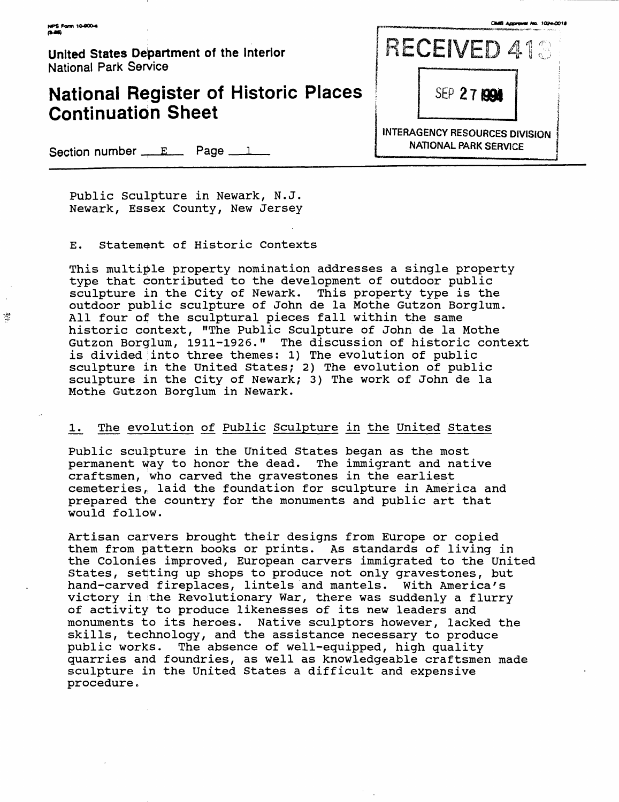$\frac{\sqrt{3}}{2}$ 

**United States Department of the interior** National Park Service

## **National Register of Historic Places Continuation Sheet**

RECEIVED 413 SEP 27199 **INTERAGENCY RESOURCES DIVISION NATIONAL PARK SERVICE**

Section number  $E_{max}$  Page  $E_{max}$ 

Public Sculpture in Newark, N.J. Newark, Essex County, New Jersey

E. Statement of Historic Contexts

This multiple property nomination addresses a single property type that contributed to the development of outdoor public sculpture in the City of Newark. This property type is the outdoor public sculpture of John de la Mothe Gutzon Borglum. All four of the sculptural pieces fall within the same historic context, "The Public Sculpture of John de la Mothe Gutzon Borglum, 1911-1926." The discussion of historic context is divided into three themes: 1) The evolution of public sculpture in the United States; 2) The evolution of public sculpture in the City of Newark; 3) The work of John de la Mothe Gutzon Borglum in Newark.

#### 1. The evolution of Public Sculpture in the United States

Public sculpture in the United States began as the most permanent way to honor the dead. The immigrant and native craftsmen, who carved the gravestones in the earliest cemeteries, laid the foundation for sculpture in America and prepared the country for the monuments and public art that would follow.

Artisan carvers brought their designs from Europe or copied them from pattern books or prints. As standards of living in the Colonies improved, European carvers immigrated to the United States, setting up shops to produce not only gravestones, but hand-carved fireplaces, lintels and mantels. With America's victory in the Revolutionary War, there was suddenly a flurry of activity to produce likenesses of its new leaders and monuments to its heroes. Native sculptors however, lacked the skills, technology, and the assistance necessary to produce public works. The absence of well-equipped, high quality quarries and foundries, as well as knowledgeable craftsmen made sculpture in the United States a difficult and expensive procedure.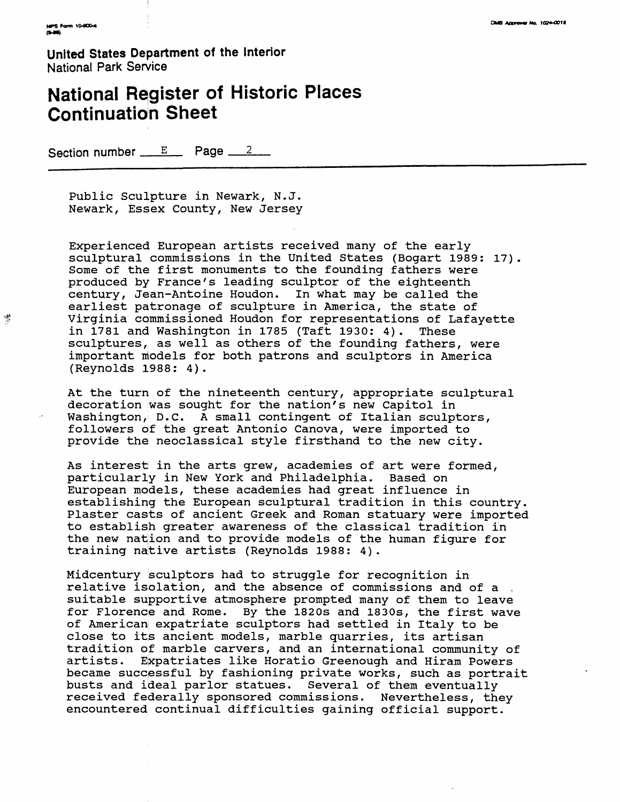嫖

United States Department of the Interior National Park Service

# National Register of Historic Places Continuation Sheet

Section number  $E$  Page  $2$ 

Public Sculpture in Newark, N.J. Newark, Essex County, New Jersey

Experienced European artists received many of the early sculptural commissions in the United States (Bogart 1989: 17). Some of the first monuments to the founding fathers were produced by France's leading sculptor of the eighteenth century, Jean-Antoine Houdon. In what may be called the earliest patronage of sculpture in America, the state of Virginia commissioned Houdon for representations of Lafayette in 1781 and Washington in 1785 (Taft 1930: 4). These sculptures, as well as others of the founding fathers, were important models for both patrons and sculptors in America (Reynolds 1988: 4).

At the turn of the nineteenth century, appropriate sculptural decoration was sought for the nation's new Capitol in Washington, D.C. A small contingent of Italian sculptors, followers of the great Antonio Canova, were imported to provide the neoclassical style firsthand to the new city.

As interest in the arts grew, academies of art were formed, particularly in New York and Philadelphia. Based on European models, these academies had great influence in establishing the European sculptural tradition in this country. Plaster casts of ancient Greek and Roman statuary were imported to establish greater awareness of the classical tradition in the new nation and to provide models of the human figure for training native artists (Reynolds 1988: 4).

Midcentury sculptors had to struggle for recognition in relative isolation, and the absence of commissions and of a . suitable supportive atmosphere prompted many of them to leave for Florence and Rome. By the 1820s and 1830s, the first wave of American expatriate sculptors had settled in Italy to be close to its ancient models, marble quarries, its artisan tradition of marble carvers, and an international community of artists. Expatriates like Horatio Greenough and Hiram Powers became successful by fashioning private works, such as portrait busts and ideal parlor statues. Several of them eventually received federally sponsored commissions. Nevertheless, they encountered continual difficulties gaining official support.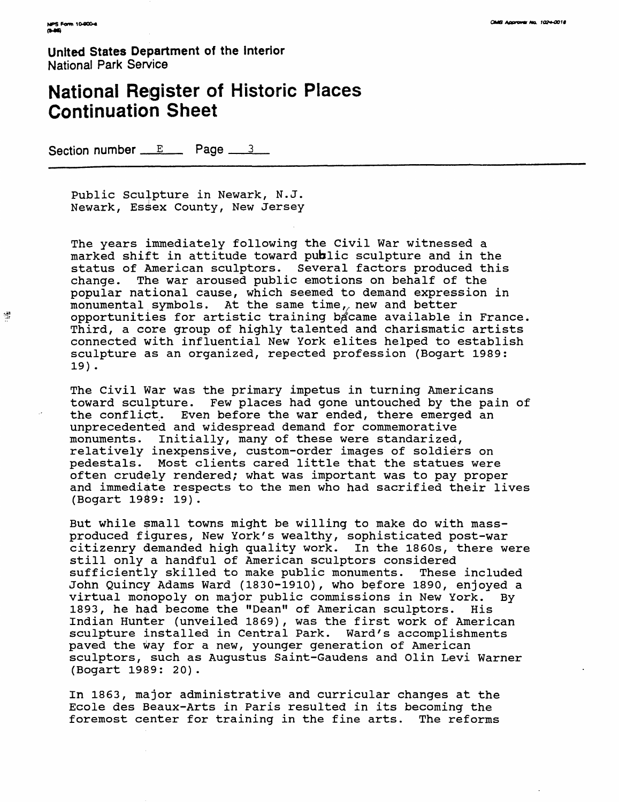醬

**United States Department of the Interior** National Park Service

# **National Register of Historic Places Continuation Sheet**

Section number  $E$  Page  $3$ 

Public Sculpture in Newark, N.J. Newark, Essex County, New Jersey

The years immediately following the Civil War witnessed a marked shift in attitude toward public sculpture and in the status of American sculptors. Several factors produced this change. The war aroused public emotions on behalf of the popular national cause, which seemed to demand expression in monumental symbols. At the same time, new and better opportunities for artistic training bacame available in France. Third, a core group of highly talented and charismatic artists connected with influential New York elites helped to establish sculpture as an organized, repected profession (Bogart 1989: 19).

The Civil War was the primary impetus in turning Americans toward sculpture. Few places had gone untouched by the pain of the conflict. Even before the war ended, there emerged an unprecedented and widespread demand for commemorative monuments. Initially, many of these were standarized, relatively inexpensive, custom-order images of soldiers on pedestals. Most clients cared little that the statues were often crudely rendered; what was important was to pay proper and immediate respects to the men who had sacrified their lives (Bogart 19^9: 19).

But while small towns might be willing to make do with massproduced figures, New York's wealthy, sophisticated post-war citizenry demanded high quality work. In the 1860s, there were still only a handful of American sculptors considered sufficiently skilled to make public monuments. These included John Quincy Adams Ward (1830-1910), who before 1890, enjoyed a virtual monopoly on major public commissions in New York. By 1893, he had become the "Dean" of American sculptors. His Indian Hunter (unveiled 1869), was the first work of American sculpture installed in Central Park. Ward's accomplishments paved the way for a new, younger generation of American sculptors, such as Augustus Saint-Gaudens and Olin Levi Warner (Bogart 1989: 20).

In 1863, major administrative and curricular changes at the Ecole des Beaux-Arts in Paris resulted in its becoming the foremost center for training in the fine arts. The reforms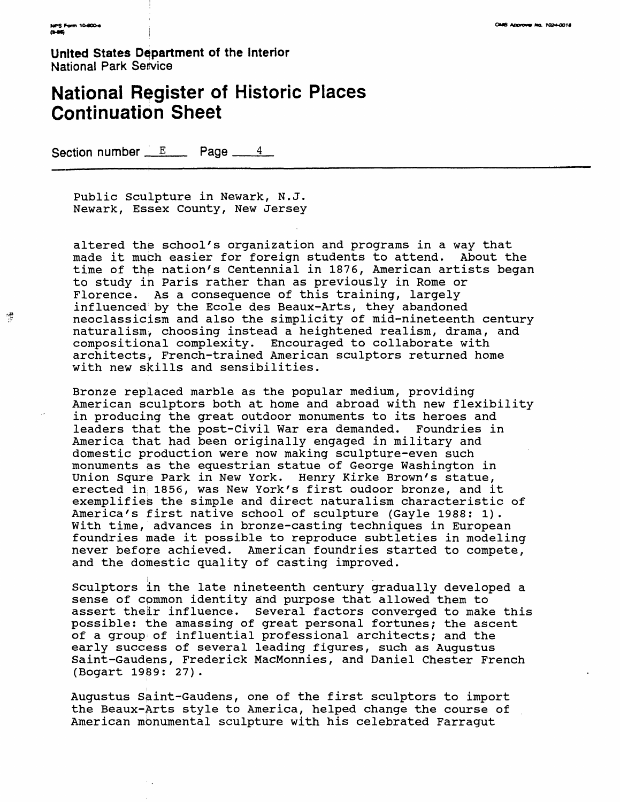博

**United States Department of the interior** National Park Service

# **National Register of Historic Places Continuation Sheet**

Section number  $\mathbb{E}$  Page  $\frac{4}{4}$ 

Public Sculpture in Newark, N.J. Newark, Essex County, New Jersey

altered the school's organization and programs in a way that made it much easier for foreign students to attend. About the time of the nation's Centennial in 1876, American artists began to study in Paris rather than as previously in Rome or Florence. As a consequence of this training, largely influenced by the Ecole des Beaux-Arts, they abandoned neoclassicism and also the simplicity of mid-nineteenth century naturalism;, choosing instead a heightened realism, drama, and compositional complexity. Encouraged to collaborate with architects;, French-trained American sculptors returned home with new skills and sensibilities.

Bronze replaced marble as the popular medium, providing American sculptors both at home and abroad with new flexibility in producing the great outdoor monuments to its heroes and leaders that the post-Civil War era demanded. Foundries in America that had been originally engaged in military and domestic production were now making sculpture-even such monuments as the equestrian statue of George Washington in Union Squre Park in New York. Henry Kirke Brown's statue, erected in; 1856, was New York's first oudoor bronze, and it exemplifies the simple and direct naturalism characteristic of America's first native school of sculpture (Gayle 1988: 1). With time, advances in bronze-casting techniques in European foundries made it possible to reproduce subtleties in modeling never before achieved. American foundries started to compete, and the domestic quality of casting improved.

Sculptors in the late nineteenth century gradually developed a sense of cpmmon identity and purpose that allowed them to assert their influence. Several factors converged to make this possible: the amassing of great personal fortunes; the ascent of a group of influential professional architects; and the early success of several leading figures, such as Augustus Saint-Gaudens, Frederick MacMonnies, and Daniel Chester French (Bogart 1989: 27).

Augustus Saint-Gaudens, one of the first sculptors to import the Beaux-Arts style to America, helped change the course of American monumental sculpture with his celebrated Farragut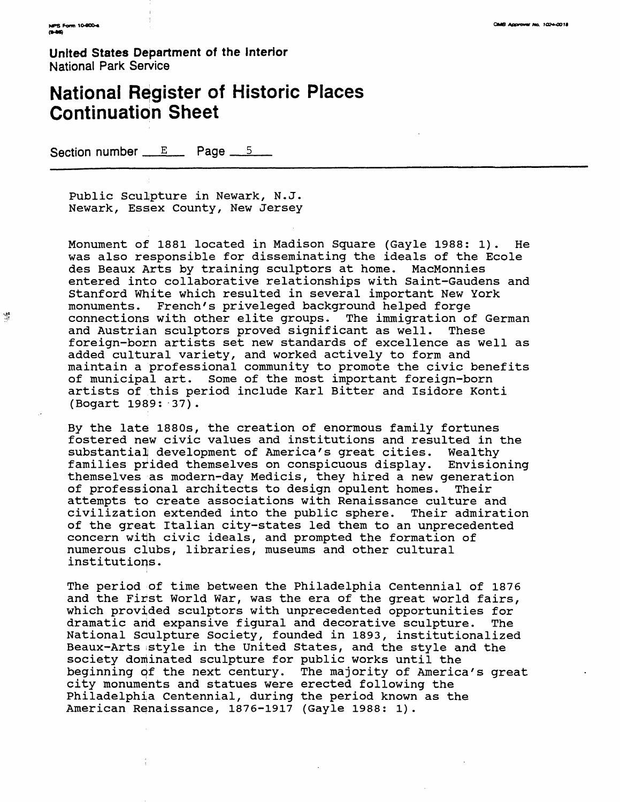導

**United States Department of the interior** National Park Service

# **National Register of Historic Places Continuation Sheet**

Section number  $E$  Page  $5$ 

Public Sculpture in Newark, N.J. Newark, Essex County, New Jersey

Monument of 1881 located in Madison Square (Gayle 1988: 1). He was also responsible for disseminating the ideals of the Ecole des Beaux Arts by training sculptors at home. MacMonnies entered into collaborative relationships with Saint-Gaudens and Stanford White which resulted in several important New York monuments. French's priveleged background helped forge French's priveleged background helped forge connections with other elite groups. The immigration of German and Austrian sculptors proved significant as well. These foreign-born artists set new standards of excellence as well as added cultural variety, and worked actively to form and maintain a professional community to promote the civic benefits of municipal art. Some of the most important foreign-born artists of this period include Karl Bitter and Isidore Konti (Bogart 1989: 37) .

By the late 1880s, the creation of enormous family fortunes fostered new civic values and institutions and resulted in the substantial development of America's great cities. Wealthy families prided themselves on conspicuous display. Envisioning themselves as modern-day Medicis, they hired a new generation of professional architects to design opulent homes. Their attempts to create associations with Renaissance culture and civilization extended into the public sphere. Their admiration of the great Italian city-states led them to an unprecedented concern witih civic ideals, and prompted the formation of numerous clubs, libraries, museums and other cultural institutions.

The period of time between the Philadelphia Centennial of 1876 and the First World War, was the era of the great world fairs, which provided sculptors with unprecedented opportunities for dramatic arid expansive figural and decorative sculpture. The National Sculpture Society, founded in 1893, institutionalized Beaux-Arts style in the United States, and the style and the society dominated sculpture for public works until the beginning of the next century. The majority of America's great city monuments and statues were erected following the Philadelphia Centennial, during the period known as the American Renaissance, 1876-1917 (Gayle 1988: 1).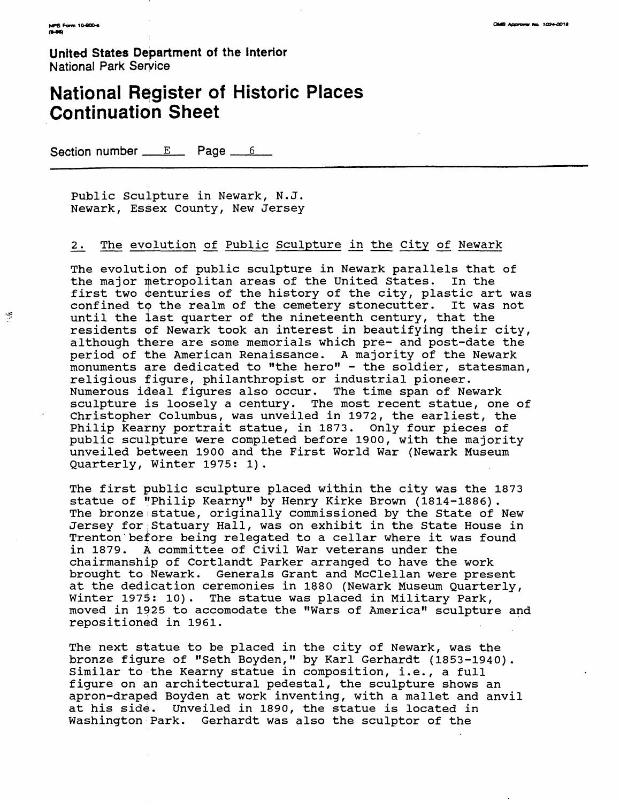$\frac{\Delta E}{\Delta t}$ 

**United States Department of the Interior** National Park Service

## **National Register of Historic Places Continuation Sheet**

Section number  $E$  Page  $6$ 

Public Sculpture in Newark, N.J. Newark, Essex County, New Jersey

#### 2. The evolution of Public Sculpture in the City of Newark

The evolution of public sculpture in Newark parallels that of the major metropolitan areas of the United States. In the first two centuries of the history of the city, plastic art was confined tp the realm of the cemetery stonecutter. It was not until the last quarter of the nineteenth century, that the residents of Newark took an interest in beautifying their city, although there are some memorials which pre- and post-date the period of the American Renaissance. A majority of the Newark monuments are dedicated to "the hero" - the soldier, statesman, religious figure, philanthropist or industrial pioneer. Numerous ideal figures also occur. The time span of Newark sculpture is loosely a century. The most recent statue, one of Christopher Columbus, was unveiled in 1972, the earliest, the Philip Kearny portrait statue, in 1873. Only four pieces of public sculpture were completed before 1900, with the majority unveiled between 1900 and the First World War (Newark Museum Quarterly, Winter 1975: 1).

The first public sculpture placed within the city was the 1873 statue of "Philip Kearny" by Henry Kirke Brown (1814-1886). The bronze statue, originally commissioned by the State of New Jersey for Statuary Hall, was on exhibit in the State House in Trenton before being relegated to a cellar where it was found in 1879. A committee of Civil War veterans under the chairmanship of Cortlandt Parker arranged to have the work brought to Newark. Generals Grant and McClellan were present at the dedication ceremonies in 1880 (Newark Museum Quarterly, Winter 1975: 10). The statue was placed in Military Park, moved in 1925 to accomodate the "Wars of America" sculpture and repositioned in 1961.

The next statue to be placed in the city of Newark, was the bronze figure of "Seth Boyden," by Karl Gerhardt (1853-1940). Similar to the Kearny statue in composition, i.e., a full figure on an architectural pedestal, the sculpture shows an apron-draped Boyden at work inventing, with a mallet and anvil at his side. Unveiled in 1890, the statue is located in Washington Park. Gerhardt was also the sculptor of the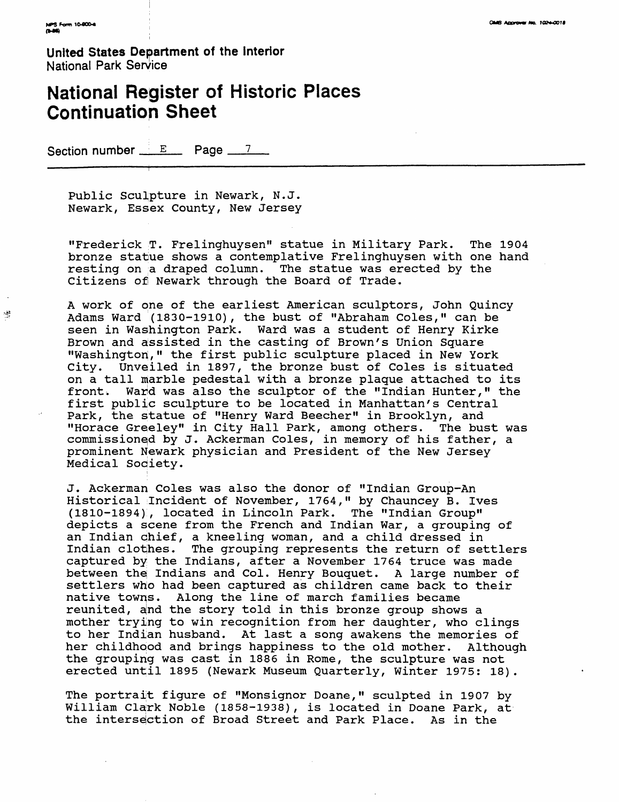德

**United States Department of the Interior** National Park Service

# **National Register of Historic Places Continuation Sheet**

Section number  $E$  Page  $7$ 

Public Sculpture in Newark, N.J. Newark, Essex County, New Jersey

"Frederick T. Frelinghuysen" statue in Military Park. The 1904 bronze statue shows a contemplative Frelinghuysen with one hand resting on a draped column. The statue was erected by the Citizens of Newark through the Board of Trade.

A work of one of the earliest American sculptors, John Quincy Adams Ward (1830-1910), the bust of "Abraham Coles," can be seen in Washington Park. Ward was a student of Henry Kirke Brown and assisted in the casting of Brown's Union Square "Washington," the first public sculpture placed in New York City. Unveiled in 1897, the bronze bust of Coles is situated on a tall marble pedestal with a bronze plaque attached to its front. Ward was also the sculptor of the "Indian Hunter," the first public sculpture to be located in Manhattan's Central Park, the statue of "Henry Ward Beecher" in Brooklyn, and "Horace Greeley" in City Hall Park, among others. The bust was commissionqd by J. Ackerman Coles, in memory of his father, a prominent Newark physician and President of the New Jersey Medical Society.

J. Ackerman Coles was also the donor of "Indian Group-An Historical Incident of November, 1764," by Chauncey B. Ives (1810-1894), located in Lincoln Park. The "Indian Group" depicts a scene from the French and Indian War, a grouping of an Indian chief, a kneeling woman, and a child dressed in Indian clothes. The grouping represents the return of settlers captured by the Indians, after a November 1764 truce was made between the Indians and Col. Henry Bouquet. A large number of settlers who had been captured as children came back to their native towns. Along the line of march families became reunited, and the story told in this bronze group shows a mother trying to win recognition from her daughter, who clings to her Indian husband. At last a song awakens the memories of her childhood and brings happiness to the old mother. Although the grouping was cast in 1886 in Rome, the sculpture was not erected until 1895 (Newark Museum Quarterly, Winter 1975: 18).

The portrait figure of "Monsignor Doane," sculpted in 1907 by William Clark Noble (1858-1938), is located in Doane Park, at the intersection of Broad Street and Park Place. As in the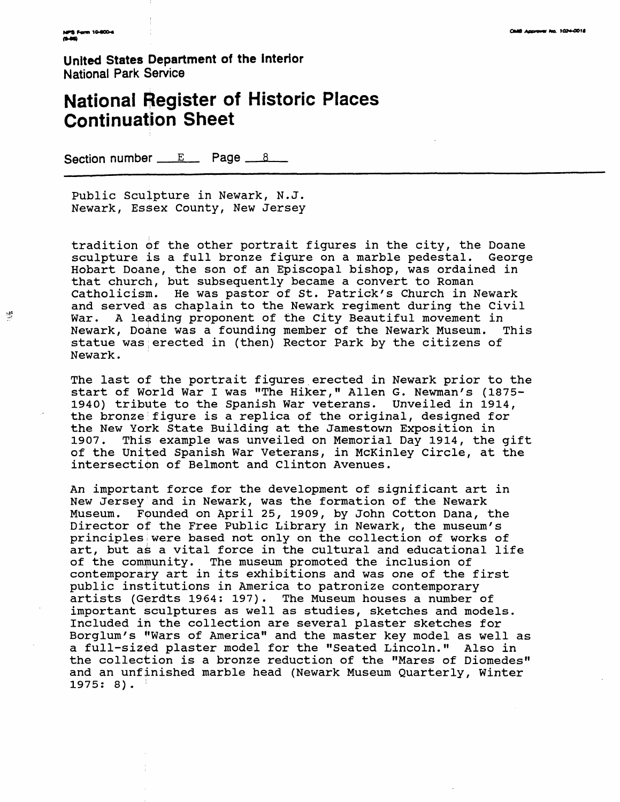零

**United States Department of the Interior** National Park Service

## **National Register of Historic Places Continuation Sheet**

Section number  $E$  Page  $8$ 

Public Sculpture in Newark, N.J. Newark, Essex County, New Jersey

tradition of the other portrait figures in the city, the Doane sculpture is a full bronze figure on a marble pedestal. George Hobart Doane, the son of an Episcopal bishop, was ordained in that church, but subsequently became a convert to Roman Catholicism. He was pastor of St. Patrick's Church in Newark and served as chaplain to the Newark regiment during the Civil War. A leading proponent of the City Beautiful movement in Newark, Doane was a founding member of the Newark Museum. This statue was;erected in (then) Rector Park by the citizens of Newark.

The last of the portrait figures erected in Newark prior to the start of World War I was "The Hiker," Alien G. Newman's (1875- 1940) tribute to the Spanish War veterans. Unveiled in 1914, the bronze:figure is a replica of the original, designed for the New York State Building at the Jamestown Exposition in<br>1907. This example was unveiled on Memorial Day 1914, the This example was unveiled on Memorial Day 1914, the gift of the United Spanish War Veterans, in McKinley Circle, at the intersection of Belmont and Clinton Avenues.

An important force for the development of significant art in New Jersey and in Newark, was the formation of the Newark Museum. Founded on April 25, 1909, by John Cotton Dana, the Director of the Free Public Library in Newark, the museum's principlesiwere based not only on the collection of works of art, but as a vital force in the cultural and educational life of the community. The museum promoted the inclusion of contemporary art in its exhibitions and was one of the first public institutions in America to patronize contemporary artists (Gerdts 1964: 197). The Museum houses a number of important sculptures as well as studies, sketches and models. Included in the collection are several plaster sketches for Borglum's "Wars of America" and the master key model as well as a full-sized plaster model for the "Seated Lincoln." Also in the collection is a bronze reduction of the "Mares of Diomedes" and an unfinished marble head (Newark Museum Quarterly, Winter  $1975: 8$ .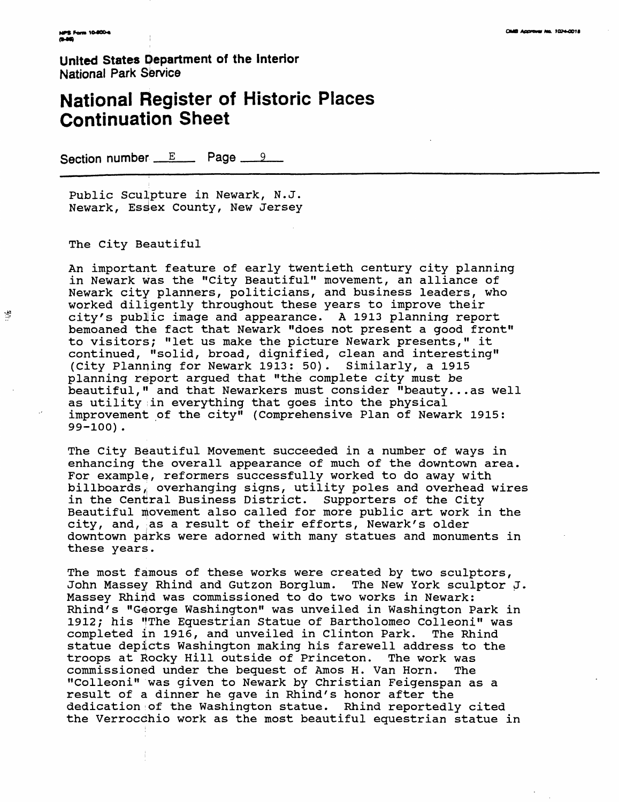谐

**United States Department of the Interior** National Park Service

## **National Register of Historic Places Continuation Sheet**

Section number  $E$  Page  $9$ 

Public Sculpture in Newark, N.J. Newark, Esdex County, New Jersey

The City Beautiful

An important feature of early twentieth century city planning in Newark was the "City Beautiful" movement, an alliance of Newark city planners, politicians, and business leaders, who worked diligently throughout these years to improve their city's public image and appearance. A 1913 planning report bemoaned the fact that Newark "does not present a good front" to visitors; "let us make the picture Newark presents," it continued, "solid, broad, dignified, clean and interesting" (City Planning for Newark 1913: 50). Similarly, a 1915 planning report argued that "the complete city must be beautiful," and that Newarkers must consider "beauty...as well as utility in everything that goes into the physical improvement of the city" (Comprehensive Plan of Newark 1915: 99-100).

The City Beautiful Movement succeeded in a number of ways in enhancing the overall appearance of much of the downtown area. For example, reformers successfully worked to do away with billboards, overhanging signs, utility poles and overhead wires in the Central Business District. Supporters of the City Beautiful movement also called for more public art work in the city, and, as a result of their efforts, Newark's older downtown parks were adorned with many statues and monuments in these years.

The most famous of these works were created by two sculptors, John Massey Rhind and Gutzon Borglum. The New York sculptor J. Massey Rhind was commissioned to do two works in Newark: Rhind's "George Washington" was unveiled in Washington Park in 1912; his "The Equestrian Statue of Bartholomeo Colleoni" was completed in 1916, and unveiled in Clinton Park. The Rhind statue depicts Washington making his farewell address to the troops at Rocky Hill outside of Princeton. The work was commissioned under the bequest of Amos H. Van Horn. The "Colleoni" was given to Newark by Christian Feigenspan as a result of a dinner he gave in Rhind's honor after the dedication of the Washington statue. Rhind reportedly cited the Verrocchio work as the most beautiful equestrian statue in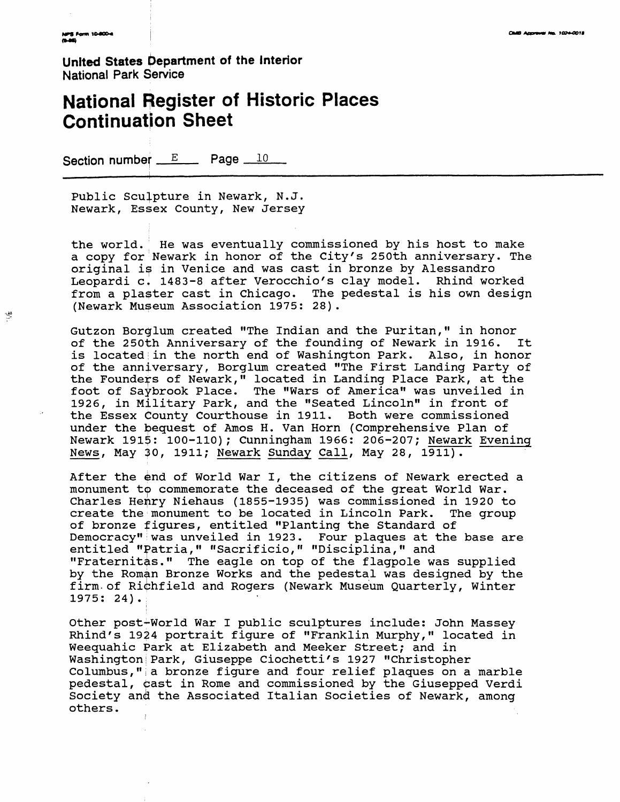$\frac{\partial \mathbf{B}}{\partial \mathbf{r}}$ 

**United States Department of the Interior** National Park Service

## **National Register of Historic Places Continuation Sheet**

Section number  $E$  Page  $10$ 

Public Sculpture in Newark, N.J. Newark, Essex County, New Jersey

the world. He was eventually commissioned by his host to make a copy for Newark in honor of the City's 250th anniversary. The original is in Venice and was cast in bronze by Alessandro Leopardi c, 1483-8 after Verocchio's clay model. Rhind worked from a plaster cast in Chicago. The pedestal is his own design (Newark Museum Association 1975: 28) .

Gutzon Borglum created "The Indian and the Puritan," in honor of the 250th Anniversary of the founding of Newark in 1916. It is located in the north end of Washington Park. Also, in honor of the anniversary, Borglum created "The First Landing Party of the Founders of Newark," located in Landing Place Park, at the foot of Saybrook Place. The "Wars of America" was unveiled in 1926, in Military Park, and the "Seated Lincoln" in front of the Essex County Courthouse in 1911. Both were commissioned under the bequest of Amos H. Van Horn (Comprehensive Plan of Newark 191\$: 100-110); Cunningham 1966: 206-207; Newark Evening News, May 30, 1911; Newark Sunday Call, May 28, 1911).

After the end of World War I, the citizens of Newark erected a monument to commemorate the deceased of the great World War. Charles Henry Niehaus (1855-1935) was commissioned in 1920 to create the monument to be located in Lincoln Park. The group of bronze figures, entitled "Planting the Standard of Democracy"iwas unveiled in 1923. Four plaques at the base are entitled "Patria," "Sacrificio," "Disciplina," and "Fraternitas." The eagle on top of the flagpole was supplied by the Roman Bronze Works and the pedestal was designed by the firm-of Richfield and Rogers (Newark Museum Quarterly, Winter 1975: 24).

Other post-World War I public sculptures include: John Massey Rhind's 1924 portrait figure of "Franklin Murphy," located in Weequahic Park at Elizabeth and Meeker Street; and in Washington!Park, Giuseppe Ciochetti's 1927 "Christopher Columbus,";a bronze figure and four relief plaques on a marble pedestal, oast in Rome and commissioned by the Giusepped Verdi Society and the Associated Italian Societies of Newark, among others.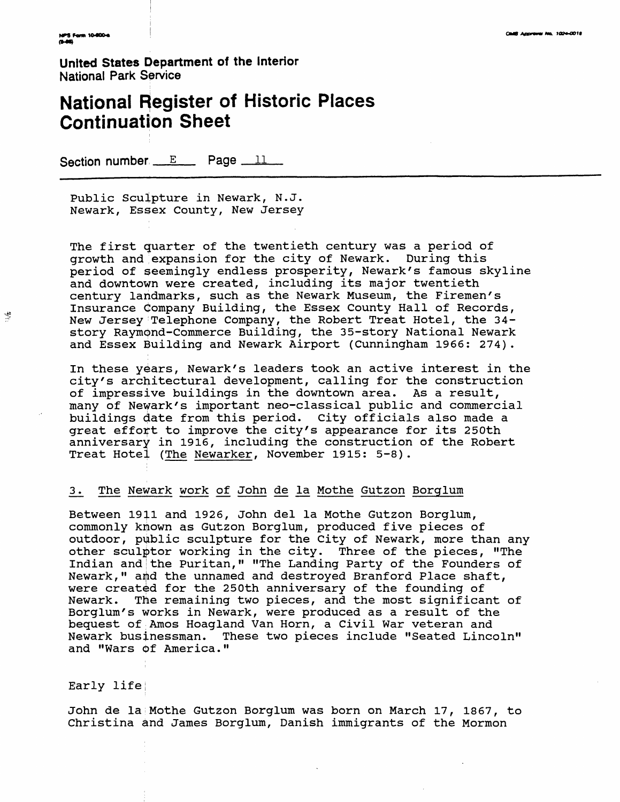博

**United States Department of the** Interior National Park Service

# **National Register of Historic Places Continuation Sheet**

Section number  $E$  Page  $11$ 

Public Sculpture in Newark, N.J. Newark, Essex County, New Jersey

The first quarter of the twentieth century was a period of growth and expansion for the city of Newark. During this period of seemingly endless prosperity, Newark's famous skyline and downtown were created, including its major twentieth century landmarks, such as the Newark Museum, the Firemen's Insurance Company Building, the Essex County Hall of Records, New Jersey Telephone Company, the Robert Treat Hotel, the 34story Raymond-Commerce Building, the 35-story National Newark and Essex Building and Newark Airport (Cunningham 1966: 274) .

In these years, Newark's leaders took an active interest in the city's architectural development, calling for the construction of impressive buildings in the downtown area. As a result, many of Newark's important neo-classical public and commercial buildings date from this period. City officials also made a great effort to improve the city's appearance for its 250th anniversary in 1916, including the construction of the Robert Treat Hotel (The Newarker, November 1915: 5-8).

#### 3 . The Newark work of John de la Mothe Gutzon Borglum

Between 1911 and 1926, John del la Mothe Gutzon Borglum, commonly known as Gutzon Borglum, produced five pieces of outdoor, public sculpture for the City of Newark, more than any other sculptor working in the city. Three of the pieces, "The Indian and the Puritan," "The Landing Party of the Founders of Newark," and the unnamed and destroyed Branford Place shaft, were created for the 250th anniversary of the founding of Newark. The remaining two pieces, and the most significant of Borglum 's works in Newark, were produced as a result of the bequest of Amos Hoagland Van Horn, a Civil War veteran and Newark businessman. These two pieces include "Seated Lincoln" and "Wars of America."

#### Early life;

John de la Mothe Gutzon Borglum was born on March 17, 1867, to Christina and James Borglum, Danish immigrants of the Mormon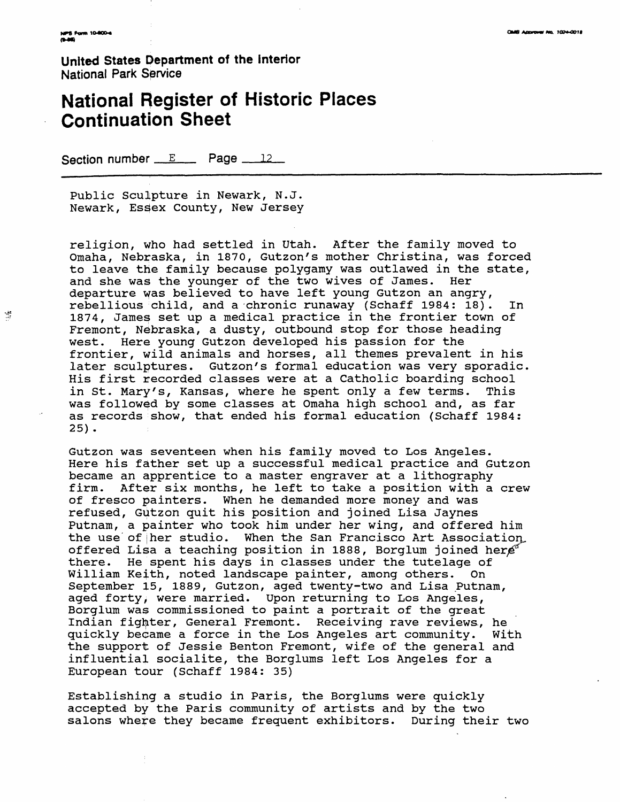獎

**United States Department of the interior** National Park Service

## **National Register of Historic Places Continuation Sheet**

Section number  $E$  Page  $12$ 

Public Sculpture in Newark, N.J. Newark, Essex County, New Jersey

religion, who had settled in Utah. After the family moved to Omaha, Nebraska, in 1870, Gutzon's mother Christina, was forced to leave the family because polygamy was outlawed in the state, and she was the younger of the two wives of James. Her departure was believed to have left young Gutzon an angry, rebellious child, and a chronic runaway (Schaff 1984: 18). In 1874, James set up a medical practice in the frontier town of Fremont, Nebraska, a dusty, outbound stop for those heading west. Here young Gutzon developed his passion for the frontier, wild animals and horses, all themes prevalent in his later sculptures. Gutzon's formal education was very sporadic. His first recorded classes were at a Catholic boarding school in St. Mary's, Kansas, where he spent only a few terms. This was followed by some classes at Omaha high school and, as far as records show, that ended his formal education (Schaff 1984: 25) .

Gutzon was seventeen when his family moved to Los Angeles. Here his father set up a successful medical practice and Gutzon became an apprentice to a master engraver at a lithography firm. After six months, he left to take a position with a crew of fresco painters. When he demanded more money and was refused, Gutzon quit his position and joined Lisa Jaynes Putnam, a painter who took him under her wing, and offered him the use of her studio. When the San Francisco Art Association, offered Lisa a teaching position in 1888, Borglum joined her $e^{\alpha}$ there. He spent his days in classes under the tutelage of William Keith, noted landscape painter, among others. On September 15, 1889, Gutzon, aged twenty-two and Lisa Putnam, aged forty, were married. Upon returning to Los Angeles, Borglum was commissioned to paint a portrait of the great Indian fighter, General Fremont. Receiving rave reviews., he quickly became a force in the Los Angeles art community. With the support of Jessie Benton Fremont, wife of the general and influential socialite, the Borglums left Los Angeles for a European tour (Schaff 1984: 35)

Establishing a studio in Paris, the Borglums were quickly accepted by the Paris community of artists and by the two salons where they became frequent exhibitors. During their two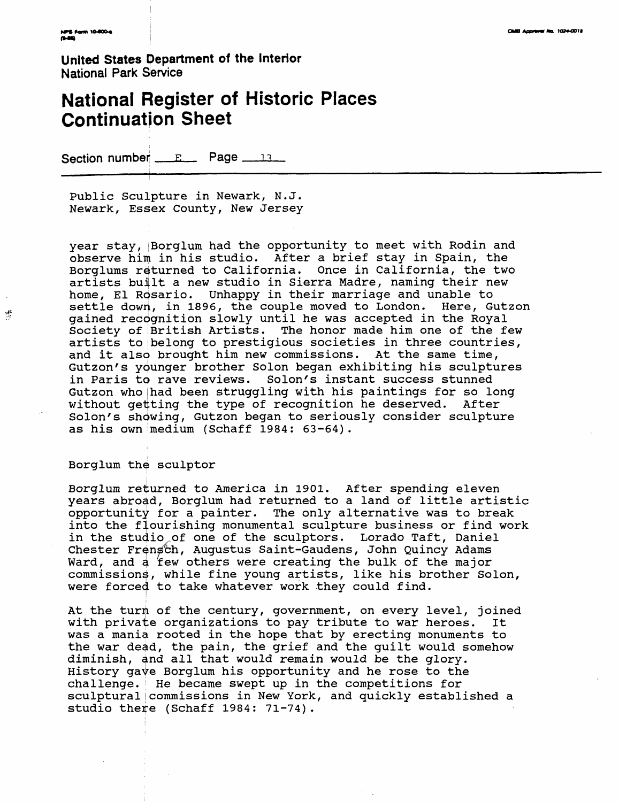$\frac{\partial \mathcal{L}}{\partial \mathcal{L}}$ 

**United States Department of the Interior** National Park Service

## **National Register of Historic Places Continuation Sheet**

Section number <u>FR</u> Page 13

i

Public Sculpture in Newark, N.J. Newark, Essex County, New Jersey

year stay, Borglum had the opportunity to meet with Rodin and observe him in his studio. After a brief stay in Spain, the Borglums returned to California. Once in California, the two artists built a new studio in Sierra Madre, naming their new home, El Rosario. Unhappy in their marriage and unable to settle down, in 1896, the couple moved to London. Here, Gutzon gained recognition slowly until he was accepted in the Royal Society of British Artists. The honor made him one of the few artists to ibelong to prestigious societies in three countries, and it also brought him new commissions. At the same time, Gutzon's ydunger brother Solon began exhibiting his sculptures in Paris to rave reviews. Solon's instant success stunned Gutzon who |had been struggling with his paintings for so long without getting the type of recognition he deserved. After Solon's showing, Gutzon began to seriously consider sculpture as his own medium (Schaff 1984: 63-64).

#### Borglum the sculptor

Borglum returned to America in 1901. After spending eleven years abroad, Borglum had returned to a land of little artistic opportunity for a painter. The only alternative was to break into the flourishing monumental sculpture business or find work in the studio,of one of the sculptors. Lorado Taft, Daniel Chester Frensch, Augustus Saint-Gaudens, John Quincy Adams Ward, and a few others were creating the bulk of the major commissions, while fine young artists, like his brother Solon, were forced to take whatever work they could find.

At the turn of the century, government, on every level, joined with private organizations to pay tribute to war heroes. It was a mania rooted in the hope that by erecting monuments to the war dead, the pain, the grief and the guilt would somehow diminish, and all that would remain would be the glory. History gave Borglum his opportunity and he rose to the challenge.' He became swept up in the competitions for sculptural|commissions in New York, and quickly established a studio there (Schaff 1984: 71-74).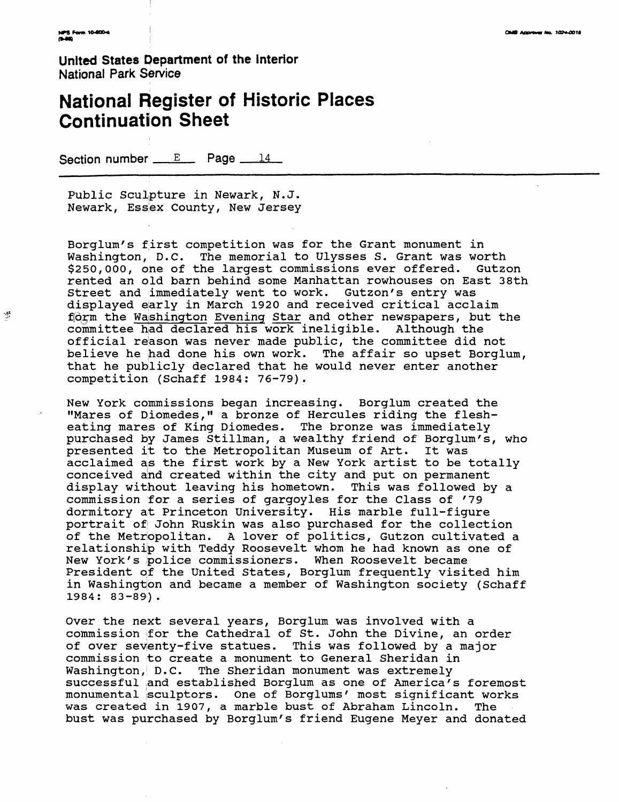豐

**United States Department of the Interior** National Park Service

# **National Register of Historic Places Continuation Sheet**

Section number  $E$  Page  $14$ 

Public Sculpture in Newark, N.J. Newark, Essex County, New Jersey

Borglum's first competition was for the Grant monument in Washington, D.C. The memorial to Ulysses S. Grant was worth \$250,000, one of the largest commissions ever offered. Gutzon rented an old barn behind some Manhattan rowhouses on East 38th Street and immediately went to work. Gutzon's entry was displayed early in March 1920 and received critical acclaim form the Washington Evening Star and other newspapers, but the committee had declared his work ineligible. Although the official reason was never made public, the committee did not believe he had done his own work. The affair so upset Borglum, that he publicly declared that he would never enter another competition (Schaff 1984: 76-79).

New York commissions began increasing. Borglum created the "Mares of Diomedes," a bronze of Hercules riding the flesheating mares of King Diomedes. The bronze was immediately purchased by James Stillman, a wealthy friend of Borglum's, who presented it to the Metropolitan Museum of Art. It was acclaimed as the first work by a New York artist to be totally conceived and created within the city and put on permanent display without leaving his hometown. This was followed by a commission for a series of gargoyles for the Class of '79 dormitory at Princeton University. His marble full-figure portrait of John Ruskin was also purchased for the collection of the Metropolitan. A lover of politics, Gutzon cultivated a relationship with Teddy Roosevelt whom he had known as one of New York's police commissioners. When Roosevelt became President of the United States, Borglum frequently visited him in Washington and became a member of Washington society (Schaff 1984: 83-89).

Over the next several years, Borglum was involved with a commission ;for the Cathedral of St. John the Divine, an order of over seventy-five statues. This was followed by a major commission to create a monument to General Sheridan in Washington, D.C. The Sheridan monument was extremely successful and established Borglum as one of America's foremost monumental isculptors. One of Borglums' most significant works was created in 1907, a marble bust of Abraham Lincoln. The bust was purchased by Borglum's friend Eugene Meyer and donated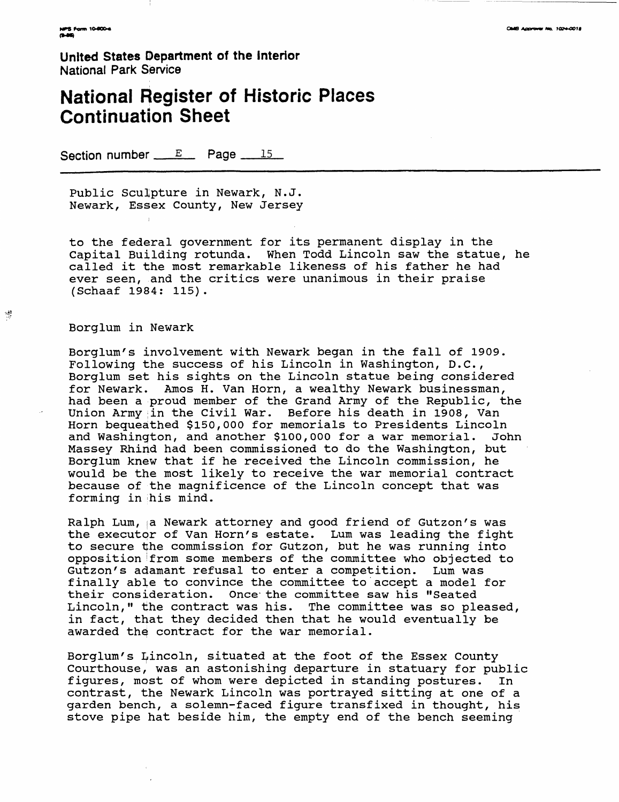**United States Department of the Interior** National Park Service

## **National Register of Historic Places Continuation Sheet**

Section number  $E$  Page  $15$ 

Public Sculpture in Newark, N.J. Newark, Essex County, New Jersey

to the federal government for its permanent display in the Capital Building rotunda. When Todd Lincoln saw the statue, he called it the most remarkable likeness of his father he had ever seen, and the critics were unanimous in their praise (Schaaf 1984: 115).

#### Borglum in Newark

零

Borglum's involvement with Newark began in the fall of 1909. Following the success of his Lincoln in Washington, D.C., Borglum set his sights on the Lincoln statue being considered for Newark. Amos H. Van Horn, a wealthy Newark businessman, had been a proud member of the Grand Army of the Republic, the Union Army in the Civil War. Before his death in 1908, Van Horn bequeathed \$150,000 for memorials to Presidents Lincoln and Washington, and another \$100,000 for a war memorial. John Massey Rhind had been commissioned to do the Washington, but Borglum knew that if he received the Lincoln commission, he would be the most likely to receive the war memorial contract because of the magnificence of the Lincoln concept that was forming in his mind.

Ralph Lum, a Newark attorney and good friend of Gutzon's was the executor of Van Horn's estate. Lum was leading the fight to secure the commission for Gutzon, but he was running into opposition ^from some members of the committee who objected to Gutzon's adamant refusal to enter a competition. Lum was finally able to convince the committee to accept a model for their consideration. Once- the committee saw his "Seated Lincoln," the contract was his. The committee was so pleased, in fact, that they decided then that he would eventually be awarded the contract for the war memorial.

Borglum's Lincoln, situated at the foot of the Essex County Courthouse, was an astonishing departure in statuary for public figures, most of whom were depicted in standing postures. In contrast, the Newark Lincoln was portrayed sitting at one of a garden bench, a solemn-faced figure transfixed in thought, his stove pipe hat beside him, the empty end of the bench seeming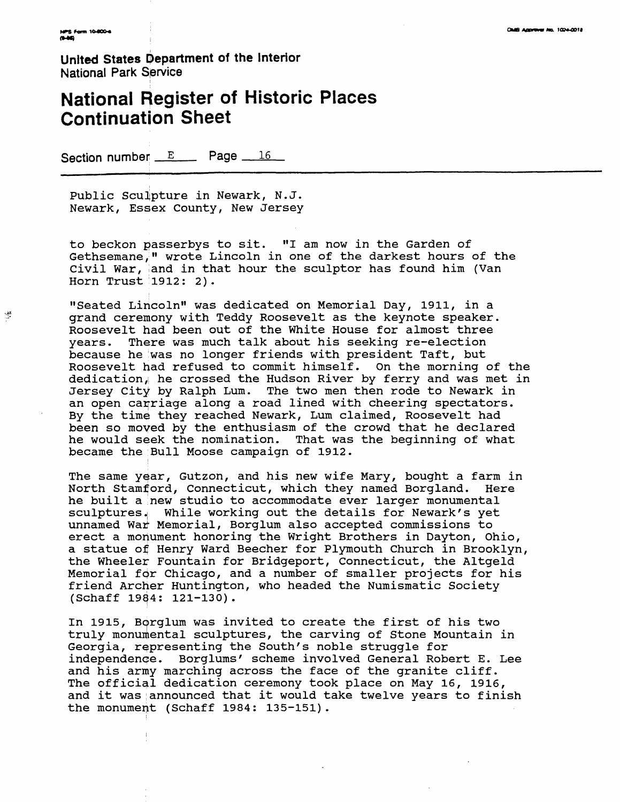婆

**United States Department of the Interior National Park Service**

## **National Register of Historic Places Continuation Sheet**

Section number  $E$  Page  $16$ 

Public Sculpture in Newark, N.J. Newark, Essex County, New Jersey

to beckon passerbys to sit. "I am now in the Garden of Gethsemane," wrote Lincoln in one of the darkest hours of the Civil War, land in that hour the sculptor has found him (Van Horn Trust 1912: 2) .

"Seated Lincoln" was dedicated on Memorial Day, 1911, in a grand ceremony with Teddy Roosevelt as the keynote speaker. Roosevelt had been out of the White House for almost three years. There was much talk about his seeking re-election because he was no longer friends with president Taft, but Roosevelt had refused to commit himself. On the morning of the dedication, he crossed the Hudson River by ferry and was met in Jersey City by Ralph Lum. The two men then rode to Newark in an open carriage along a road lined with cheering spectators. By the time they reached Newark, Lum claimed, Roosevelt had been so moved by the enthusiasm of the crowd that he declared he would seek the nomination. That was the beginning of what became the Bull Moose campaign of 1912.

The same year, Gutzon, and his new wife Mary, bought a farm in North Stamford, Connecticut, which they named Borgland. Here he built a new studio to accommodate ever larger monumental sculptures. | While working out the details for Newark's yet unnamed War Memorial, Borglum also accepted commissions to erect a monument honoring the Wright Brothers in Dayton, Ohio, a statue of Henry Ward Beecher for Plymouth Church in Brooklyn, the Wheeler Fountain for Bridgeport, Connecticut, the Altgeld Memorial for Chicago, and a number of smaller projects for his friend Archer Huntington, who headed the Numismatic Society (Schaff 1984: 121-130).

In 1915, Bprglum was invited to create the first of his two truly monumental sculptures, the carving of Stone Mountain in Georgia, representing the South 's noble struggle for independence. Borglums' scheme involved General Robert E. Lee and his army marching across the face of the granite cliff. The official dedication ceremony took place on May 16, 1916, and it was announced that it would take twelve years to finish the monument (Schaff 1984: 135-151).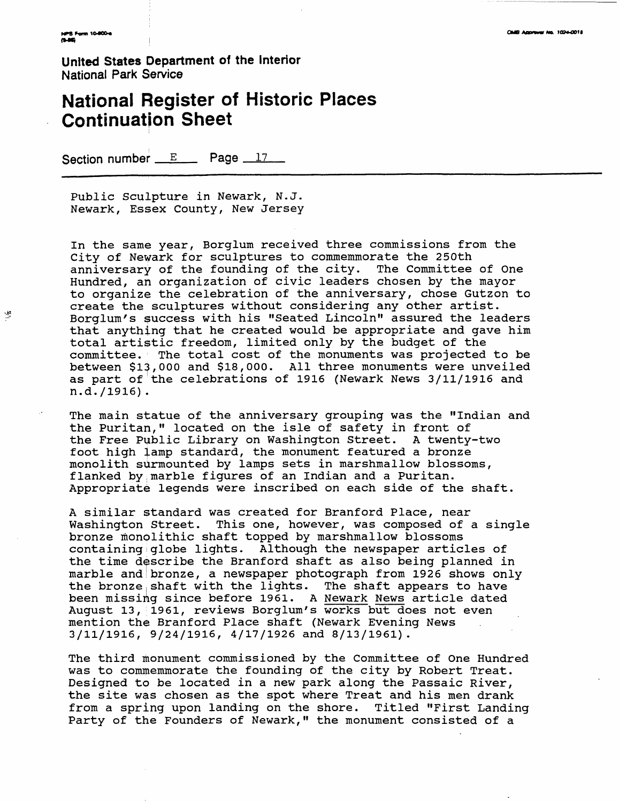넆

**United States Department of the Interior** National Park Service

## **National Register of Historic Places Continuation Sheet**

Section number  $E$  Page  $17$ 

Public Sculpture in Newark, N.J. Newark, Essex County, New Jersey

In the same year, Borglum received three commissions from the City of Newark for sculptures to commemmorate the 250th anniversary of the founding of the city. The Committee of One Hundred, an organization of civic leaders chosen by the mayor to organize the celebration of the anniversary, chose Gutzon to create the sculptures without considering any other artist. Borglum's success with his "Seated Lincoln" assured the leaders that anything that he created would be appropriate and gave him total artistic freedom, limited only by the budget of the committee. The total cost of the monuments was projected to be between \$13,000 and \$18,000. All three monuments were unveiled as part of the celebrations of 1916 (Newark News 3/11/1916 and n.d./1916).

The main statue of the anniversary grouping was the "Indian and the Puritan," located on the isle of safety in front of the Free Public Library on Washington Street. A twenty-two foot high lamp standard, the monument featured a bronze monolith surmounted by lamps sets in marshmallow blossoms, flanked by,marble figures of an Indian and a Puritan. Appropriate legends were inscribed on each side of the shaft.

A similar standard was created for Branford Place, near Washington Street. This one, however, was composed of a single bronze monolithic shaft topped by marshmallow blossoms containingiglobe lights. Although the newspaper articles of the time describe the Branford shaft as also being planned in marble and bronze, a newspaper photograph from 1926 shows only the bronze shaft with the lights. The shaft appears to have been missing since before 1961. A Newark News article dated August 13, 1961, reviews Borglum's works but does not even mention the Branford Place shaft (Newark Evening News 3/11/1916, 9/24/1916, 4/17/1926 and 8/13/1961).

The third monument commissioned by the Committee of One Hundred was to commemmorate the founding of the city by Robert Treat. Designed to be located in a new park along the Passaic River, the site was chosen as the spot where Treat and his men drank from a spring upon landing on the shore. Titled "First Landing Party of the Founders of Newark," the monument consisted of a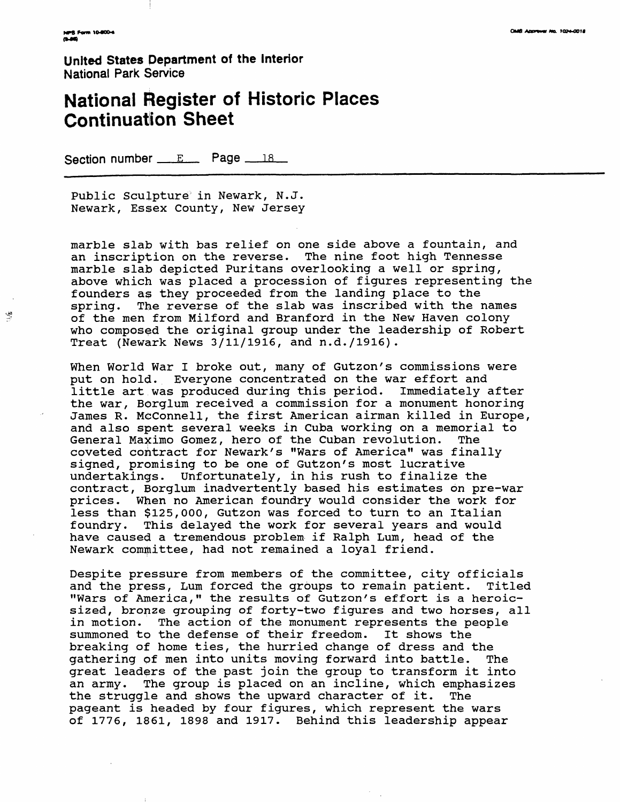$\frac{\sqrt{3}}{2}$ 

**United States Department of the Interior**  National Park Service

## **National Register of Historic Places Continuation Sheet**

Section number  $E$  Page  $18$ 

Public Sculpture in Newark, N.J. Newark, Essex County, New Jersey

marble slab with bas relief on one side above a fountain, and an inscription on the reverse. The nine foot high Tennesse marble slab depicted Puritans overlooking a well or spring, above which was placed a procession of figures representing the founders as they proceeded from the landing place to the spring. The reverse of the slab was inscribed with the names of the men from Milford and Branford in the New Haven colony who composed the original group under the leadership of Robert Treat (Newark News 3/11/1916, and n.d./1916).

When World War I broke out, many of Gutzon's commissions were put on hold. Everyone concentrated on the war effort and little art was produced during this period. Immediately after the war, Borglum received a commission for a monument honoring James R. McConnell, the first American airman killed in Europe, and also spent several weeks in Cuba working on a memorial to General Maximo Gomez, hero of the Cuban revolution. The coveted contract for Newark's "Wars of America" was finally signed, promising to be one of Gutzon's most lucrative undertakings. Unfortunately, in his rush to finalize the contract, Borglum inadvertently based his estimates on pre-war prices. When no American foundry would consider the work for less than \$125,000, Gutzon was forced to turn to an Italian foundry. This delayed the work for several years and would have caused a tremendous problem if Ralph Lum, head of the Newark committee, had not remained a loyal friend.

Despite pressure from members of the committee, city officials and the press, Lum forced the groups to remain patient. Titled "Wars of America," the results of Gutzon's effort is a heroicsized, bronze grouping of forty-two figures and two horses, all in motion. The action of the monument represents the people summoned to the defense of their freedom. It shows the breaking of home ties, the hurried change of dress and the gathering of men into units moving forward into battle. The great leaders of the past join the group to transform it into an army. The group is placed on an incline, which emphasizes the struggle and shows the upward character of it. The pageant is headed by four figures, which represent the wars of 1776 , 1861, 1898 and 1917. Behind this leadership appear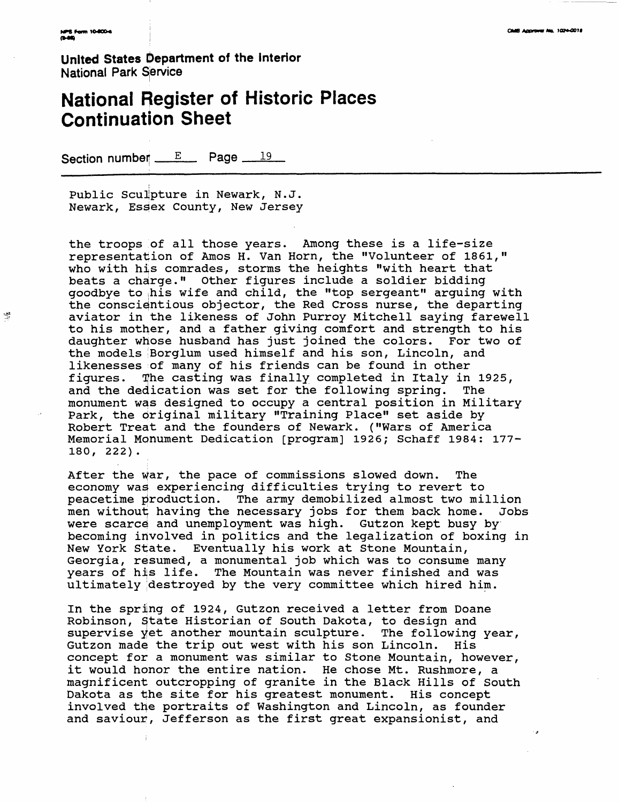零

**United States Department of the Interior National Park Service** 

# **National Register of Historic Places Continuation Sheet**

Section number  $E$  Page  $19$ 

Public Sculpture in Newark, N.J. Newark, Essex County, New Jersey

the troops of all those years. Among these is a life-size representation of Amos H. Van Horn, the "Volunteer of 1861," who with his comrades, storms the heights "with heart that beats a charge." Other figures include a soldier bidding goodbye to ihis wife and child, the "top sergeant" arguing with the conscientious objector, the Red Cross nurse, the departing aviator in the likeness of John Purroy Mitchell saying farewell to his mother, and a father giving comfort and strength to his daughter whose husband has just joined the colors. For two of the models iBorglum used himself and his son, Lincoln, and likenesses of many of his friends can be found in other figures. Ifhe casting was finally completed in Italy in 1925, and the dedication was set for the following spring. The monument was designed to occupy a central position in Military Park, the original military "Training Place" set aside by Robert Treat and the founders of Newark. ("Wars of America Memorial Monument Dedication [program] 1926; Schaff 1984: 177- 180, 222).

After the war, the pace of commissions slowed down. The economy was experiencing difficulties trying to revert to peacetime production. The army demobilized almost two million men without^ having the necessary jobs for them back home. Jobs were scarce and unemployment was high. Gutzon kept busy by becoming involved in politics and the legalization of boxing in New York State. Eventually his work at Stone Mountain, Georgia, resumed, a monumental job which was to consume many years of his life. The Mountain was never finished and was ultimately destroyed by the very committee which hired him.

In the spring of 1924, Gutzon received a letter from Doane Robinson, State Historian of South Dakota, to design and supervise  $y$ et another mountain sculpture. The following year, Gutzon made the trip out west with his son Lincoln. His concept for a monument was similar to Stone Mountain, however, it would honor the entire nation. He chose Mt. Rushmore, a magnificent outcropping of granite in the Black Hills of South Dakota as the site for his greatest monument. His concept involved the portraits of Washington and Lincoln, as founder and saviour, Jefferson as the first great expansionist, and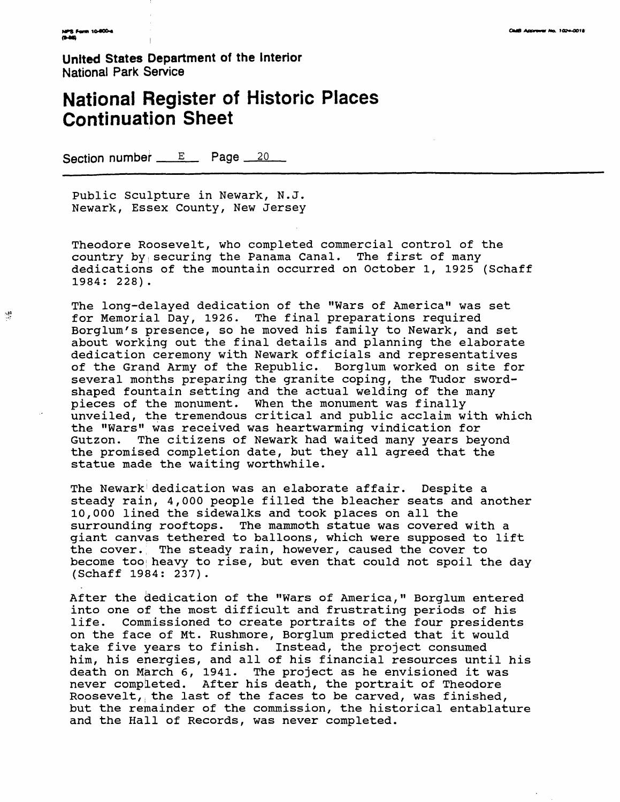$\frac{\sqrt{3}}{2}$ 

**United States Department of the Interior** National Park Service

## **National Register of Historic Places Continuation Sheet**

Section number  $E$  Page  $20$ 

Public Sculpture in Newark, N.J. Newark, Essex County, New Jersey

Theodore Roosevelt, who completed commercial control of the country by securing the Panama Canal. The first of many dedications of the mountain occurred on October 1, 1925 (Schaff 1984: 228) .

The long-delayed dedication of the "Wars of America" was set for Memorial Day, 1926. The final preparations required Borglum's presence, so he moved his family to Newark, and set about working out the final details and planning the elaborate dedication ceremony with Newark officials and representatives of the Grand Army of the Republic. Borglum worked on site for several months preparing the granite coping, the Tudor swordshaped fountain setting and the actual welding of the many pieces of the monument. When the monument was finally unveiled, the tremendous critical and public acclaim with which the "Wars" was received was heartwarming vindication for Gutzon. The citizens of Newark had waited many years beyond the promised completion date, but they all agreed that the statue made the waiting worthwhile.

The Newark' dedication was an elaborate affair. Despite a steady rain, 4,000 people filled the bleacher seats and another 10,000 lined the sidewalks and took places on all the surrounding rooftops. The mammoth statue was covered with a giant canvas tethered to balloons, which were supposed to lift the cover. The steady rain, however, caused the cover to become tooi heavy to rise, but even that could not spoil the day (Schaff 1984: 237).

After the dedication of the "Wars of America," Borglum entered into one of the most difficult and frustrating periods of his life. Commissioned to create portraits of the four presidents on the face of Mt. Rushmore, Borglum predicted that it would take five years to finish. Instead, the project consumed him, his energies, and all of his financial resources until his death on March 6, 1941. The project as he envisioned it was never completed. After his death, the portrait of Theodore Roosevelt,, the last of the faces to be carved, was finished, but the remainder of the commission, the historical entablature and the Hall of Records, was never completed.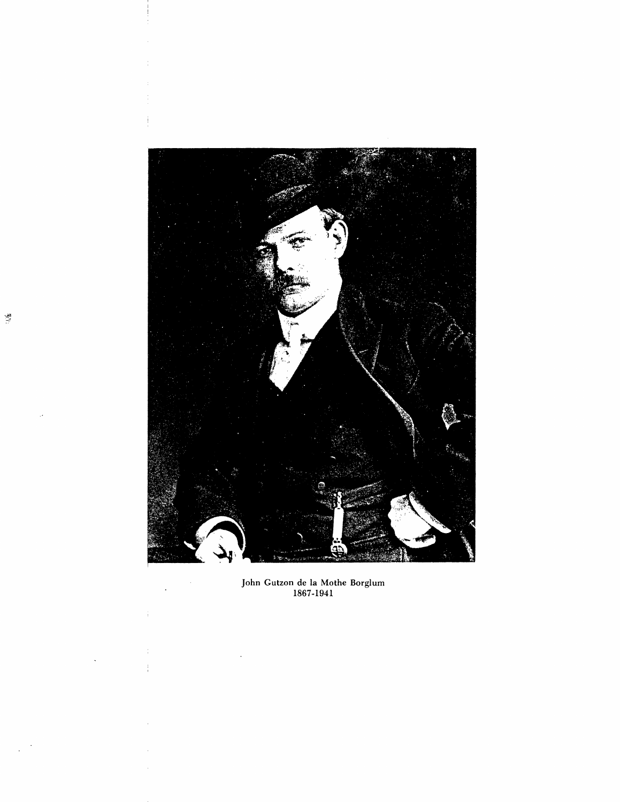

John Gutzon de la Mothe Borglum 1867-1941

 $\bar{z}$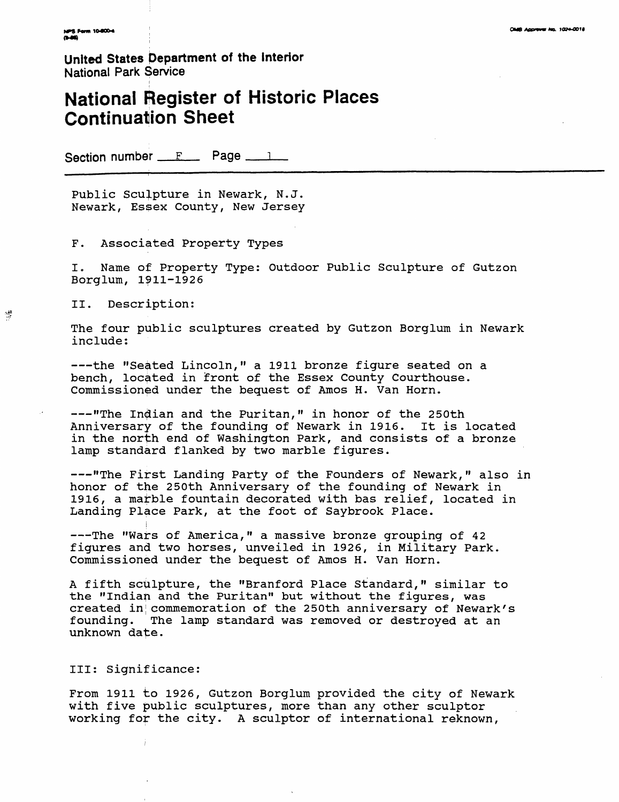**United States Department of the Interior** National Park Service

i

## **National Register of Historic Places Continuation Sheet**

Section number  $F$  Page  $1$ 

Public Sculpture in Newark, N.J. Newark, Essex County, New Jersey

F. Associated Property Types

I. Name of Property Type: Outdoor Public Sculpture of Gutzon Borglum, 1911-1926

II. Description:

The four public sculptures created by Gutzon Borglum in Newark include:

---the "Seated Lincoln," a 1911 bronze figure seated on a bench, located in front of the Essex County Courthouse. Commissioned under the bequest of Amos H. Van Horn.

---"The Indian and the Puritan," in honor of the 250th Anniversary of the founding of Newark in 1916. It is located in the north end of Washington Park, and consists of a bronze lamp standard flanked by two marble figures.

---"The First Landing Party of the Founders of Newark," also in honor of the 250th Anniversary of the founding of Newark in 1916, a matble fountain decorated with bas relief, located in Landing Place Park, at the foot of Saybrook Place.

---The "Wars of America," a massive bronze grouping of 42 figures and two horses, unveiled in 1926, in Military Park. Commissioned under the bequest of Amos H. Van Horn.

A fifth sculpture, the "Branford Place Standard," similar to the "Indian and the Puritan" but without the figures, was created in! commemoration of the 250th anniversary of Newark's founding. The lamp standard was removed or destroyed at an unknown date.

#### Ill: Significance:

From 1911 to 1926, Gutzon Borglum provided the city of Newark with five public sculptures, more than any other sculptor working for the city. A sculptor of international reknown,

嶀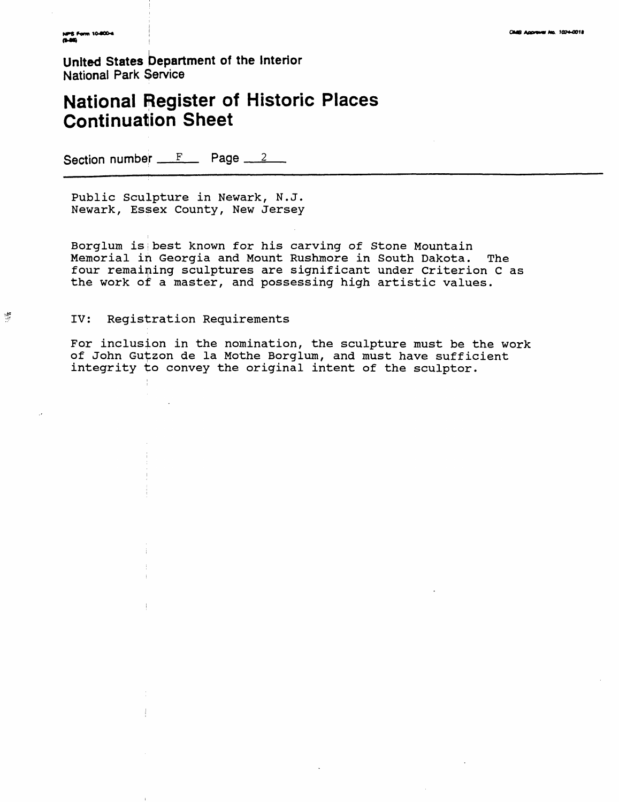$\frac{1}{2}$ 

**United States Department of the Interior** National Park Service

## **National Register of Historic Places Continuation Sheet**

Section number  $F$  Page  $2$ 

Public Sculpture in Newark, N.J. Newark, Essex County, New Jersey

Borglum is;best known for his carving of Stone Mountain Memorial in Georgia and Mount Rushmore in South Dakota. The four remaining sculptures are significant under Criterion C as the work of a master, and possessing high artistic values.

#### IV: Registration Requirements

For inclusion in the nomination, the sculpture must be the work of John Gutzon de la Mothe Borglum, and must have sufficient integrity to convey the original intent of the sculptor.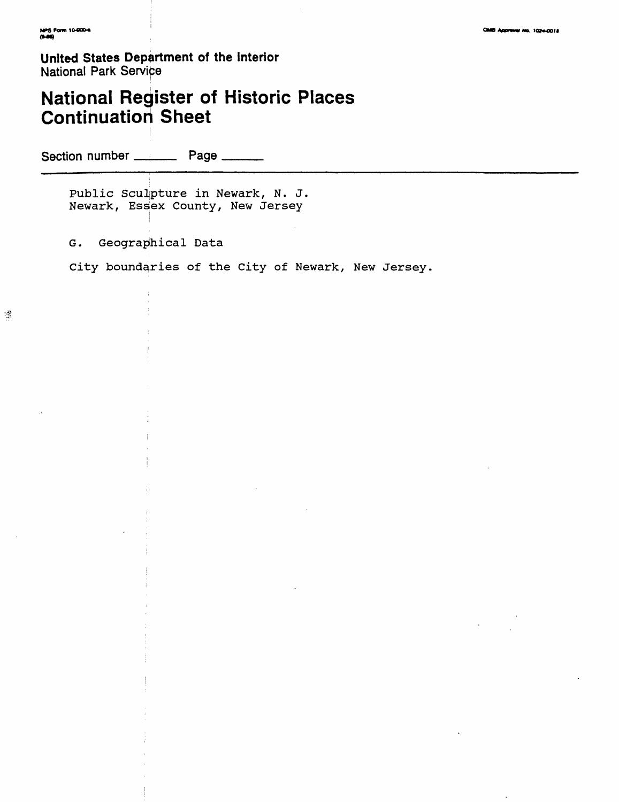**United States Department of the Interior** National Park Service

# **National Register of Historic Places Continuation Sheet**

Section number \_\_\_\_\_\_\_ Page \_\_\_\_

Public Sculpture in Newark, N. J. Newark, Essex County, New Jersey

G. Geographical Data

City boundaries of the City of Newark, New Jersey,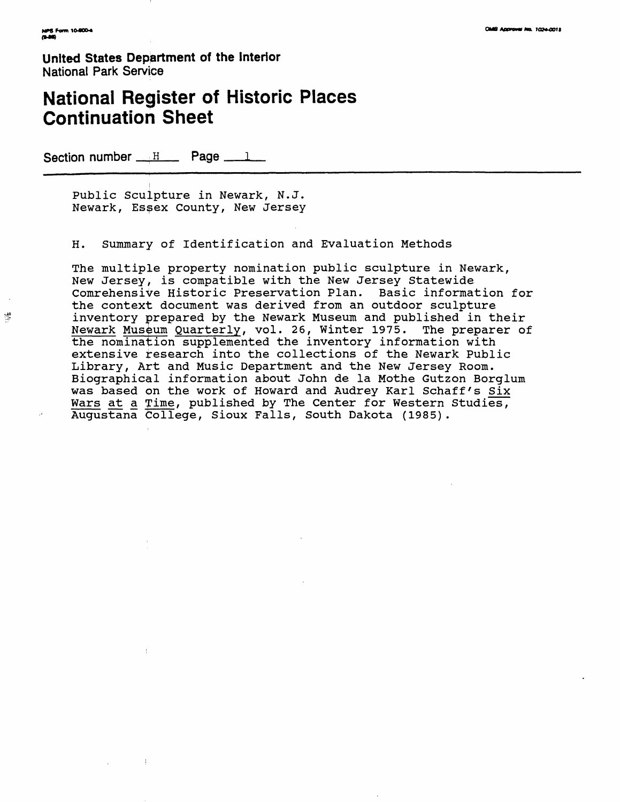戀

**United States Department of the Interior** National Park Service

## **National Register of Historic Places Continuation Sheet**

Section number  $\mathbb{H}$  Page  $\mathbb{L}$ 

Public Sculpture in Newark, N.J. Newark, Essex County, New Jersey

H. Summary of Identification and Evaluation Methods

The multiple property nomination public sculpture in Newark, New Jersey, is compatible with the New Jersey Statewide Comrehensive Historic Preservation Plan. Basic information for the context document was derived from an outdoor sculpture inventory prepared by the Newark Museum and published in their Newark Museum Quarterly, vol. 26, Winter 1975. The preparer of the nomination supplemented the inventory information with extensive research into the collections of the Newark Public Library, Art and Music Department and the New Jersey Room. Biographical information about John de la Mothe Gutzon Borglum was based on the work of Howard and Audrey Karl Schaff's Six Wars at a Time, published by The Center for Western Studies, Augustana College, Sioux Falls, South Dakota (1985).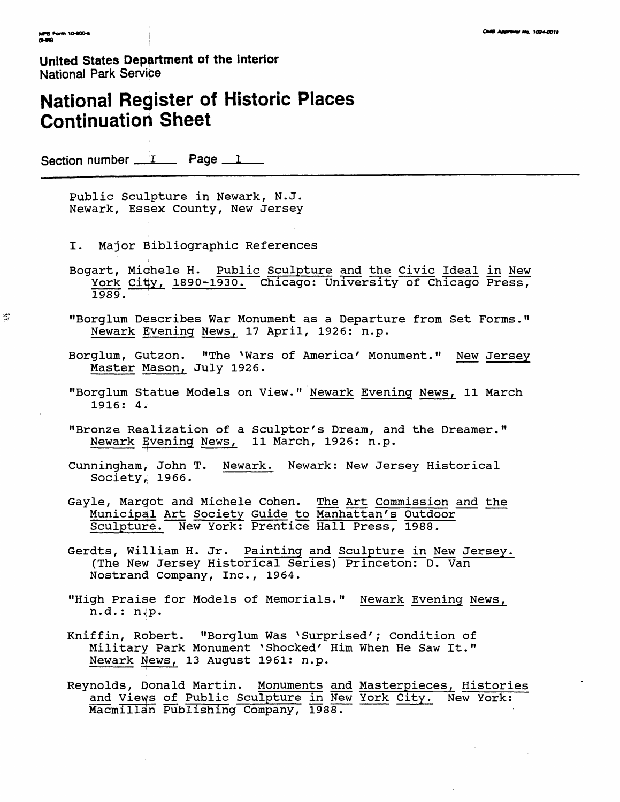矮

**United States Department of the Interior** National Park Service

## **National Register of Historic Places Continuation Sheet**

Section number  $\frac{1}{\sqrt{1-\epsilon}}$  Page  $\frac{1}{\sqrt{1-\epsilon}}$ 

Public Sculpture in Newark, N.J. Newark, Essex County, New Jersey

- I. Major Bibliographic References
- Bogart, Michele H. Public Sculpture and the Civic Ideal in New York City, 1890-1930. Chicago: University of Chicago Press, 1989.
- "Borglum Describes War Monument as a Departure from Set Forms." Newark Evening News, 17 April, 1926: n.p.
- Borglum, Gutzon. "The ^Wars of America' Monument." New Jersey Master Mason, July 1926.
- "Borglum Statue Models on View." Newark Evening News, 11 March 1916: 4.
- "Bronze Realization of a Sculptor's Dream, and the Dreamer." Newark gvening News, 11 March, 1926: n.p.
- Cunningham, John T. Newark. Newark: New Jersey Historical Society, 1966.
- Gayle, Margot and Michele Cohen. The Art Commission and the Municipal Art Society Guide to Manhattan's Outdoor Sculpture. New York: Prentice Hall Press, 1988.
- Gerdts, William H. Jr. Painting and Sculpture in New Jersey. (The New Jersey Historical Series) Princeton: D. Van Nostrand Company, Inc., 1964.
- "High Praise for Models of Memorials." Newark Evening News, n.d. : n.|p.
- Kniffin, Robert. "Borglum Was 'Surprised'; Condition of Military Park Monument 'Shocked' Him When He Saw It." Newark News, 13 August 1961: n.p.
- Reynolds, Donald Martin. Monuments and Masterpieces, Histories and Vieys of Public Sculpture in New York City. New York: Macmillan Publishing Company, 1988.